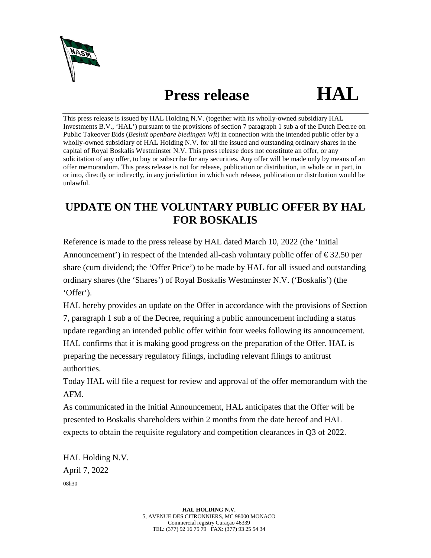

## **Press release HAL**

This press release is issued by HAL Holding N.V. (together with its wholly-owned subsidiary HAL Investments B.V., 'HAL') pursuant to the provisions of section 7 paragraph 1 sub a of the Dutch Decree on Public Takeover Bids (*Besluit openbare biedingen Wft*) in connection with the intended public offer by a wholly-owned subsidiary of HAL Holding N.V. for all the issued and outstanding ordinary shares in the capital of Royal Boskalis Westminster N.V. This press release does not constitute an offer, or any solicitation of any offer, to buy or subscribe for any securities. Any offer will be made only by means of an offer memorandum. This press release is not for release, publication or distribution, in whole or in part, in or into, directly or indirectly, in any jurisdiction in which such release, publication or distribution would be unlawful.

## **UPDATE ON THE VOLUNTARY PUBLIC OFFER BY HAL FOR BOSKALIS**

Reference is made to the press release by HAL dated March 10, 2022 (the 'Initial Announcement') in respect of the intended all-cash voluntary public offer of  $\epsilon$ 32.50 per share (cum dividend; the 'Offer Price') to be made by HAL for all issued and outstanding ordinary shares (the 'Shares') of Royal Boskalis Westminster N.V. ('Boskalis') (the 'Offer').

HAL hereby provides an update on the Offer in accordance with the provisions of Section 7, paragraph 1 sub a of the Decree, requiring a public announcement including a status update regarding an intended public offer within four weeks following its announcement. HAL confirms that it is making good progress on the preparation of the Offer. HAL is preparing the necessary regulatory filings, including relevant filings to antitrust authorities.

Today HAL will file a request for review and approval of the offer memorandum with the AFM.

As communicated in the Initial Announcement, HAL anticipates that the Offer will be presented to Boskalis shareholders within 2 months from the date hereof and HAL expects to obtain the requisite regulatory and competition clearances in Q3 of 2022.

HAL Holding N.V. April 7, 2022 08h30

> **HAL HOLDING N.V.** 5, AVENUE DES CITRONNIERS, MC 98000 MONACO Commercial registry Curaçao 46339 TEL: (377) 92 16 75 79 FAX: (377) 93 25 54 34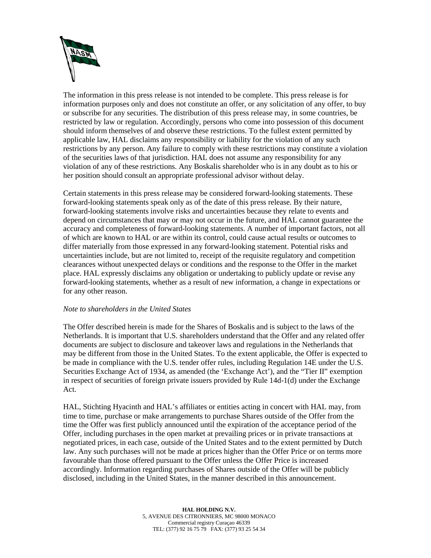

The information in this press release is not intended to be complete. This press release is for information purposes only and does not constitute an offer, or any solicitation of any offer, to buy or subscribe for any securities. The distribution of this press release may, in some countries, be restricted by law or regulation. Accordingly, persons who come into possession of this document should inform themselves of and observe these restrictions. To the fullest extent permitted by applicable law, HAL disclaims any responsibility or liability for the violation of any such restrictions by any person. Any failure to comply with these restrictions may constitute a violation of the securities laws of that jurisdiction. HAL does not assume any responsibility for any violation of any of these restrictions. Any Boskalis shareholder who is in any doubt as to his or her position should consult an appropriate professional advisor without delay.

Certain statements in this press release may be considered forward-looking statements. These forward-looking statements speak only as of the date of this press release. By their nature, forward-looking statements involve risks and uncertainties because they relate to events and depend on circumstances that may or may not occur in the future, and HAL cannot guarantee the accuracy and completeness of forward-looking statements. A number of important factors, not all of which are known to HAL or are within its control, could cause actual results or outcomes to differ materially from those expressed in any forward-looking statement. Potential risks and uncertainties include, but are not limited to, receipt of the requisite regulatory and competition clearances without unexpected delays or conditions and the response to the Offer in the market place. HAL expressly disclaims any obligation or undertaking to publicly update or revise any forward-looking statements, whether as a result of new information, a change in expectations or for any other reason.

## *Note to shareholders in the United States*

The Offer described herein is made for the Shares of Boskalis and is subject to the laws of the Netherlands. It is important that U.S. shareholders understand that the Offer and any related offer documents are subject to disclosure and takeover laws and regulations in the Netherlands that may be different from those in the United States. To the extent applicable, the Offer is expected to be made in compliance with the U.S. tender offer rules, including Regulation 14E under the U.S. Securities Exchange Act of 1934, as amended (the 'Exchange Act'), and the "Tier II" exemption in respect of securities of foreign private issuers provided by Rule 14d-1(d) under the Exchange Act.

HAL, Stichting Hyacinth and HAL's affiliates or entities acting in concert with HAL may, from time to time, purchase or make arrangements to purchase Shares outside of the Offer from the time the Offer was first publicly announced until the expiration of the acceptance period of the Offer, including purchases in the open market at prevailing prices or in private transactions at negotiated prices, in each case, outside of the United States and to the extent permitted by Dutch law. Any such purchases will not be made at prices higher than the Offer Price or on terms more favourable than those offered pursuant to the Offer unless the Offer Price is increased accordingly. Information regarding purchases of Shares outside of the Offer will be publicly disclosed, including in the United States, in the manner described in this announcement.

> **HAL HOLDING N.V.** 5, AVENUE DES CITRONNIERS, MC 98000 MONACO Commercial registry Curaçao 46339 TEL: (377) 92 16 75 79 FAX: (377) 93 25 54 34